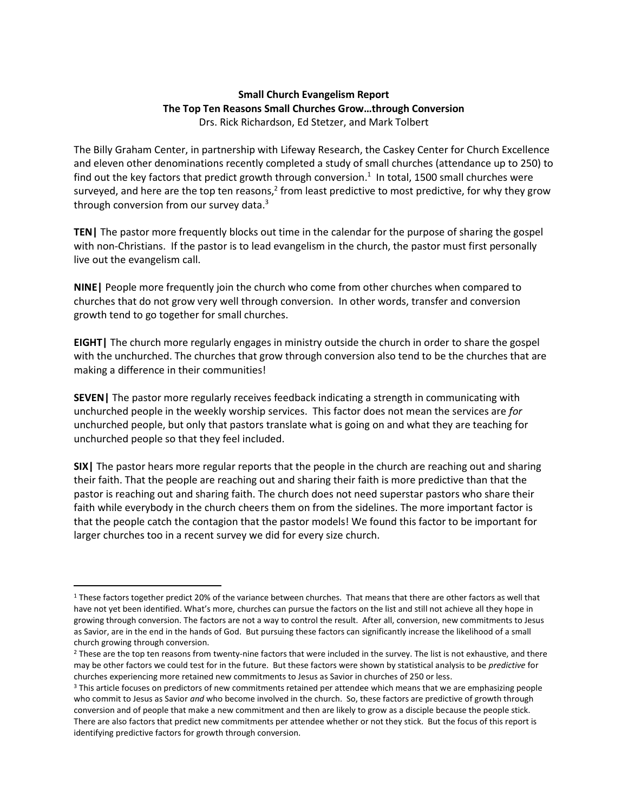## **Small Church Evangelism Report The Top Ten Reasons Small Churches Grow…through Conversion** Drs. Rick Richardson, Ed Stetzer, and Mark Tolbert

The Billy Graham Center, in partnership with Lifeway Research, the Caskey Center for Church Excellence and eleven other denominations recently completed a study of small churches (attendance up to 250) to find out the key factors that predict growth through conversion.<sup>1</sup> In total, 1500 small churches were surveyed, and here are the top ten reasons,<sup>2</sup> from least predictive to most predictive, for why they grow through conversion from our survey data.<sup>3</sup>

**TEN|** The pastor more frequently blocks out time in the calendar for the purpose of sharing the gospel with non-Christians. If the pastor is to lead evangelism in the church, the pastor must first personally live out the evangelism call.

**NINE|** People more frequently join the church who come from other churches when compared to churches that do not grow very well through conversion. In other words, transfer and conversion growth tend to go together for small churches.

**EIGHT|** The church more regularly engages in ministry outside the church in order to share the gospel with the unchurched. The churches that grow through conversion also tend to be the churches that are making a difference in their communities!

**SEVEN|** The pastor more regularly receives feedback indicating a strength in communicating with unchurched people in the weekly worship services. This factor does not mean the services are *for* unchurched people, but only that pastors translate what is going on and what they are teaching for unchurched people so that they feel included.

**SIX|** The pastor hears more regular reports that the people in the church are reaching out and sharing their faith. That the people are reaching out and sharing their faith is more predictive than that the pastor is reaching out and sharing faith. The church does not need superstar pastors who share their faith while everybody in the church cheers them on from the sidelines. The more important factor is that the people catch the contagion that the pastor models! We found this factor to be important for larger churches too in a recent survey we did for every size church.

 $\overline{a}$ 

<sup>&</sup>lt;sup>1</sup> These factors together predict 20% of the variance between churches. That means that there are other factors as well that have not yet been identified. What's more, churches can pursue the factors on the list and still not achieve all they hope in growing through conversion. The factors are not a way to control the result. After all, conversion, new commitments to Jesus as Savior, are in the end in the hands of God. But pursuing these factors can significantly increase the likelihood of a small church growing through conversion.

<sup>&</sup>lt;sup>2</sup> These are the top ten reasons from twenty-nine factors that were included in the survey. The list is not exhaustive, and there may be other factors we could test for in the future. But these factors were shown by statistical analysis to be *predictive* for churches experiencing more retained new commitments to Jesus as Savior in churches of 250 or less.

<sup>&</sup>lt;sup>3</sup> This article focuses on predictors of new commitments retained per attendee which means that we are emphasizing people who commit to Jesus as Savior *and* who become involved in the church. So, these factors are predictive of growth through conversion and of people that make a new commitment and then are likely to grow as a disciple because the people stick. There are also factors that predict new commitments per attendee whether or not they stick. But the focus of this report is identifying predictive factors for growth through conversion.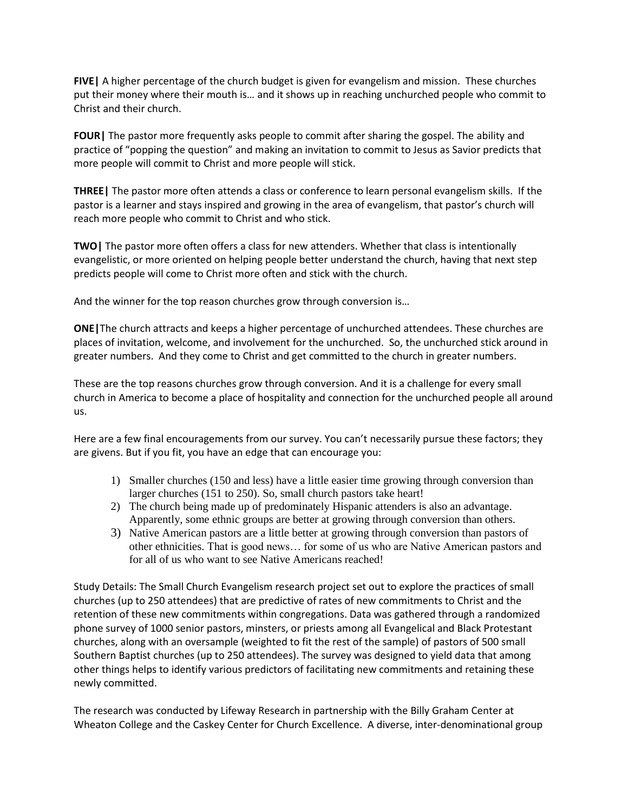**FIVE|** A higher percentage of the church budget is given for evangelism and mission. These churches put their money where their mouth is… and it shows up in reaching unchurched people who commit to Christ and their church.

**FOUR|** The pastor more frequently asks people to commit after sharing the gospel. The ability and practice of "popping the question" and making an invitation to commit to Jesus as Savior predicts that more people will commit to Christ and more people will stick.

**THREE|** The pastor more often attends a class or conference to learn personal evangelism skills. If the pastor is a learner and stays inspired and growing in the area of evangelism, that pastor's church will reach more people who commit to Christ and who stick.

**TWO|** The pastor more often offers a class for new attenders. Whether that class is intentionally evangelistic, or more oriented on helping people better understand the church, having that next step predicts people will come to Christ more often and stick with the church.

And the winner for the top reason churches grow through conversion is…

**ONE|**The church attracts and keeps a higher percentage of unchurched attendees. These churches are places of invitation, welcome, and involvement for the unchurched. So, the unchurched stick around in greater numbers. And they come to Christ and get committed to the church in greater numbers.

These are the top reasons churches grow through conversion. And it is a challenge for every small church in America to become a place of hospitality and connection for the unchurched people all around us.

Here are a few final encouragements from our survey. You can't necessarily pursue these factors; they are givens. But if you fit, you have an edge that can encourage you:

- 1) Smaller churches (150 and less) have a little easier time growing through conversion than larger churches (151 to 250). So, small church pastors take heart!
- 2) The church being made up of predominately Hispanic attenders is also an advantage. Apparently, some ethnic groups are better at growing through conversion than others.
- 3) Native American pastors are a little better at growing through conversion than pastors of other ethnicities. That is good news… for some of us who are Native American pastors and for all of us who want to see Native Americans reached!

Study Details: The Small Church Evangelism research project set out to explore the practices of small churches (up to 250 attendees) that are predictive of rates of new commitments to Christ and the retention of these new commitments within congregations. Data was gathered through a randomized phone survey of 1000 senior pastors, minsters, or priests among all Evangelical and Black Protestant churches, along with an oversample (weighted to fit the rest of the sample) of pastors of 500 small Southern Baptist churches (up to 250 attendees). The survey was designed to yield data that among other things helps to identify various predictors of facilitating new commitments and retaining these newly committed.

The research was conducted by Lifeway Research in partnership with the Billy Graham Center at Wheaton College and the Caskey Center for Church Excellence. A diverse, inter-denominational group